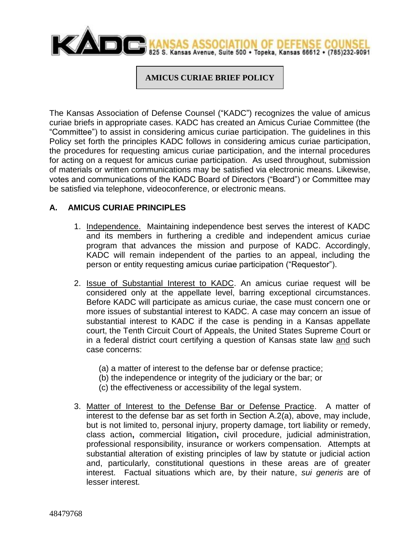

#### **AMICUS CURIAE BRIEF POLICY**

The Kansas Association of Defense Counsel ("KADC") recognizes the value of amicus curiae briefs in appropriate cases. KADC has created an Amicus Curiae Committee (the "Committee") to assist in considering amicus curiae participation. The guidelines in this Policy set forth the principles KADC follows in considering amicus curiae participation, the procedures for requesting amicus curiae participation, and the internal procedures for acting on a request for amicus curiae participation. As used throughout, submission of materials or written communications may be satisfied via electronic means. Likewise, votes and communications of the KADC Board of Directors ("Board") or Committee may be satisfied via telephone, videoconference, or electronic means.

### **A. AMICUS CURIAE PRINCIPLES**

- 1. Independence. Maintaining independence best serves the interest of KADC and its members in furthering a credible and independent amicus curiae program that advances the mission and purpose of KADC. Accordingly, KADC will remain independent of the parties to an appeal, including the person or entity requesting amicus curiae participation ("Requestor").
- 2. Issue of Substantial Interest to KADC. An amicus curiae request will be considered only at the appellate level, barring exceptional circumstances. Before KADC will participate as amicus curiae, the case must concern one or more issues of substantial interest to KADC. A case may concern an issue of substantial interest to KADC if the case is pending in a Kansas appellate court, the Tenth Circuit Court of Appeals, the United States Supreme Court or in a federal district court certifying a question of Kansas state law and such case concerns:
	- (a) a matter of interest to the defense bar or defense practice;
	- (b) the independence or integrity of the judiciary or the bar; or
	- (c) the effectiveness or accessibility of the legal system.
- 3. Matter of Interest to the Defense Bar or Defense Practice. A matter of interest to the defense bar as set forth in Section A.2(a), above, may include, but is not limited to, personal injury, property damage, tort liability or remedy, class action**,** commercial litigation**,** civil procedure, judicial administration, professional responsibility, insurance or workers compensation. Attempts at substantial alteration of existing principles of law by statute or judicial action and, particularly, constitutional questions in these areas are of greater interest. Factual situations which are, by their nature, *sui generis* are of lesser interest.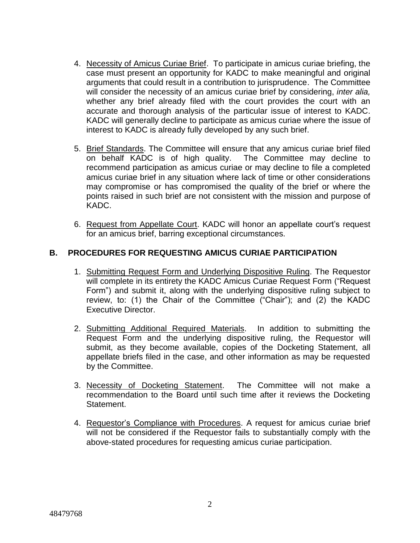- 4. Necessity of Amicus Curiae Brief. To participate in amicus curiae briefing, the case must present an opportunity for KADC to make meaningful and original arguments that could result in a contribution to jurisprudence. The Committee will consider the necessity of an amicus curiae brief by considering, *inter alia,* whether any brief already filed with the court provides the court with an accurate and thorough analysis of the particular issue of interest to KADC. KADC will generally decline to participate as amicus curiae where the issue of interest to KADC is already fully developed by any such brief.
- 5. Brief Standards. The Committee will ensure that any amicus curiae brief filed on behalf KADC is of high quality. The Committee may decline to recommend participation as amicus curiae or may decline to file a completed amicus curiae brief in any situation where lack of time or other considerations may compromise or has compromised the quality of the brief or where the points raised in such brief are not consistent with the mission and purpose of KADC.
- 6. Request from Appellate Court. KADC will honor an appellate court's request for an amicus brief, barring exceptional circumstances.

## **B. PROCEDURES FOR REQUESTING AMICUS CURIAE PARTICIPATION**

- 1. Submitting Request Form and Underlying Dispositive Ruling. The Requestor will complete in its entirety the KADC Amicus Curiae Request Form ("Request" Form") and submit it, along with the underlying dispositive ruling subject to review, to: (1) the Chair of the Committee ("Chair"); and (2) the KADC Executive Director.
- 2. Submitting Additional Required Materials. In addition to submitting the Request Form and the underlying dispositive ruling, the Requestor will submit, as they become available, copies of the Docketing Statement, all appellate briefs filed in the case, and other information as may be requested by the Committee.
- 3. Necessity of Docketing Statement. The Committee will not make a recommendation to the Board until such time after it reviews the Docketing Statement.
- 4. Requestor's Compliance with Procedures. A request for amicus curiae brief will not be considered if the Requestor fails to substantially comply with the above-stated procedures for requesting amicus curiae participation.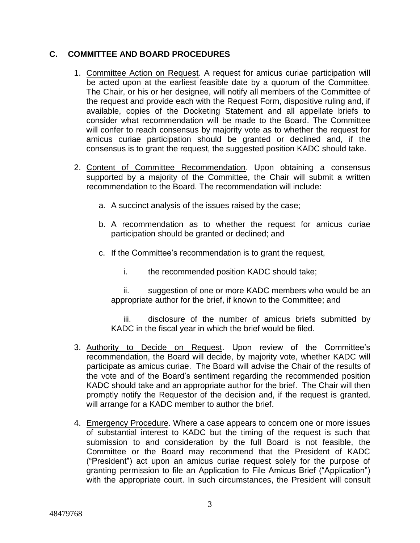## **C. COMMITTEE AND BOARD PROCEDURES**

- 1. Committee Action on Request. A request for amicus curiae participation will be acted upon at the earliest feasible date by a quorum of the Committee. The Chair, or his or her designee, will notify all members of the Committee of the request and provide each with the Request Form, dispositive ruling and, if available, copies of the Docketing Statement and all appellate briefs to consider what recommendation will be made to the Board. The Committee will confer to reach consensus by majority vote as to whether the request for amicus curiae participation should be granted or declined and, if the consensus is to grant the request, the suggested position KADC should take.
- 2. Content of Committee Recommendation. Upon obtaining a consensus supported by a majority of the Committee, the Chair will submit a written recommendation to the Board. The recommendation will include:
	- a. A succinct analysis of the issues raised by the case;
	- b. A recommendation as to whether the request for amicus curiae participation should be granted or declined; and
	- c. If the Committee's recommendation is to grant the request,
		- i. the recommended position KADC should take;

ii. suggestion of one or more KADC members who would be an appropriate author for the brief, if known to the Committee; and

iii. disclosure of the number of amicus briefs submitted by KADC in the fiscal year in which the brief would be filed.

- 3. Authority to Decide on Request. Upon review of the Committee's recommendation, the Board will decide, by majority vote, whether KADC will participate as amicus curiae. The Board will advise the Chair of the results of the vote and of the Board's sentiment regarding the recommended position KADC should take and an appropriate author for the brief. The Chair will then promptly notify the Requestor of the decision and, if the request is granted, will arrange for a KADC member to author the brief.
- 4. Emergency Procedure. Where a case appears to concern one or more issues of substantial interest to KADC but the timing of the request is such that submission to and consideration by the full Board is not feasible, the Committee or the Board may recommend that the President of KADC ("President") act upon an amicus curiae request solely for the purpose of granting permission to file an Application to File Amicus Brief ("Application") with the appropriate court. In such circumstances, the President will consult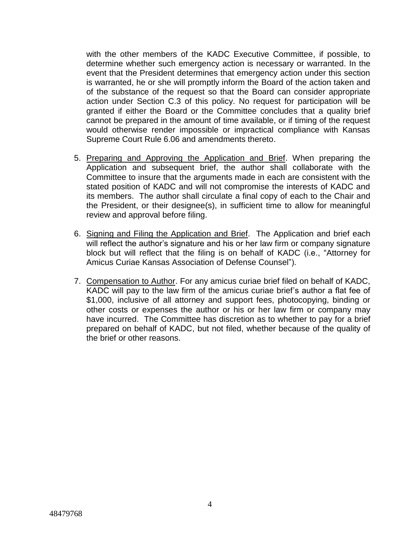with the other members of the KADC Executive Committee, if possible, to determine whether such emergency action is necessary or warranted. In the event that the President determines that emergency action under this section is warranted, he or she will promptly inform the Board of the action taken and of the substance of the request so that the Board can consider appropriate action under Section C.3 of this policy. No request for participation will be granted if either the Board or the Committee concludes that a quality brief cannot be prepared in the amount of time available, or if timing of the request would otherwise render impossible or impractical compliance with Kansas Supreme Court Rule 6.06 and amendments thereto.

- 5. Preparing and Approving the Application and Brief. When preparing the Application and subsequent brief, the author shall collaborate with the Committee to insure that the arguments made in each are consistent with the stated position of KADC and will not compromise the interests of KADC and its members. The author shall circulate a final copy of each to the Chair and the President, or their designee(s), in sufficient time to allow for meaningful review and approval before filing.
- 6. Signing and Filing the Application and Brief. The Application and brief each will reflect the author's signature and his or her law firm or company signature block but will reflect that the filing is on behalf of KADC (i.e., "Attorney for Amicus Curiae Kansas Association of Defense Counsel").
- 7. Compensation to Author. For any amicus curiae brief filed on behalf of KADC, KADC will pay to the law firm of the amicus curiae brief's author a flat fee of \$1,000, inclusive of all attorney and support fees, photocopying, binding or other costs or expenses the author or his or her law firm or company may have incurred. The Committee has discretion as to whether to pay for a brief prepared on behalf of KADC, but not filed, whether because of the quality of the brief or other reasons.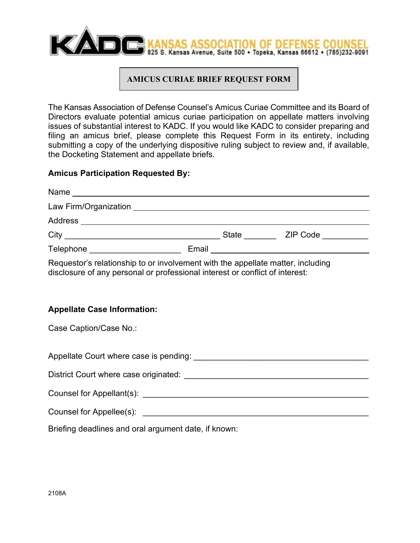

# **AMICUS CURIAE BRIEF REQUEST FORM**

The Kansas Association of Defense Counsel's Amicus Curiae Committee and its Board of Directors evaluate potential amicus curiae participation on appellate matters involving issues of substantial interest to KADC. If you would like KADC to consider preparing and filing an amicus brief, please complete this Request Form in its entirety, including submitting a copy of the underlying dispositive ruling subject to review and, if available, the Docketing Statement and appellate briefs.

### **Amicus Participation Requested By:**

| Requestor's relationship to or involvement with the appellate matter, including<br>disclosure of any personal or professional interest or conflict of interest: |  |  |  |
|-----------------------------------------------------------------------------------------------------------------------------------------------------------------|--|--|--|
| <b>Appellate Case Information:</b>                                                                                                                              |  |  |  |
| Case Caption/Case No.:                                                                                                                                          |  |  |  |
|                                                                                                                                                                 |  |  |  |
|                                                                                                                                                                 |  |  |  |
|                                                                                                                                                                 |  |  |  |

Counsel for Appellee(s):

Briefing deadlines and oral argument date, if known: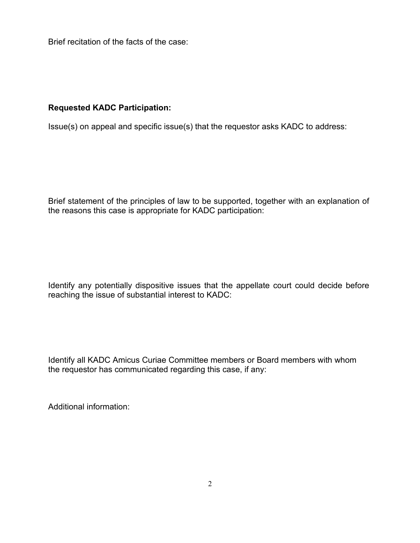Brief recitation of the facts of the case:

#### **Requested KADC Participation:**

Issue(s) on appeal and specific issue(s) that the requestor asks KADC to address:

Brief statement of the principles of law to be supported, together with an explanation of the reasons this case is appropriate for KADC participation:

Identify any potentially dispositive issues that the appellate court could decide before reaching the issue of substantial interest to KADC:

Identify all KADC Amicus Curiae Committee members or Board members with whom the requestor has communicated regarding this case, if any:

Additional information: